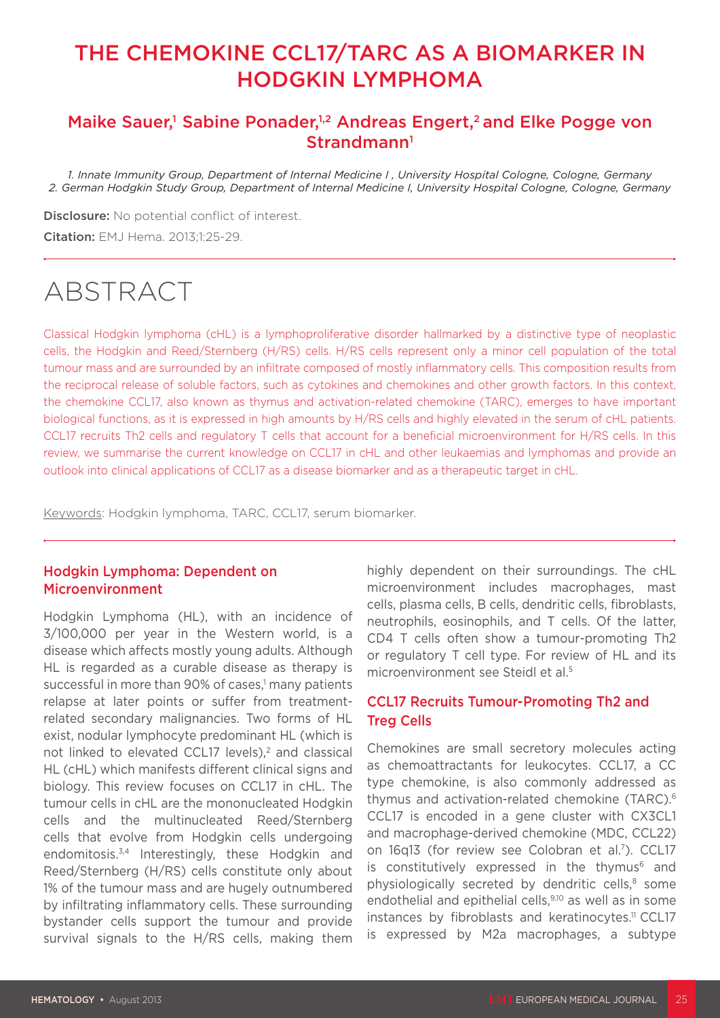## THE CHEMOKINE CCL17/TARC AS A BIOMARKER IN HODGKIN LYMPHOMA

### Maike Sauer,<sup>1</sup> Sabine Ponader,<sup>1,2</sup> Andreas Engert,<sup>2</sup> and Elke Pogge von Strandmann<sup>1</sup>

*1. Innate Immunity Group, Department of Internal Medicine I , University Hospital Cologne, Cologne, Germany 2. German Hodgkin Study Group, Department of Internal Medicine I, University Hospital Cologne, Cologne, Germany*

**Disclosure:** No potential conflict of interest. Citation: EMJ Hema. 2013;1:25-29.

# ABSTRACT

Classical Hodgkin lymphoma (cHL) is a lymphoproliferative disorder hallmarked by a distinctive type of neoplastic cells, the Hodgkin and Reed/Sternberg (H/RS) cells. H/RS cells represent only a minor cell population of the total tumour mass and are surrounded by an infiltrate composed of mostly inflammatory cells. This composition results from the reciprocal release of soluble factors, such as cytokines and chemokines and other growth factors. In this context, the chemokine CCL17, also known as thymus and activation-related chemokine (TARC), emerges to have important biological functions, as it is expressed in high amounts by H/RS cells and highly elevated in the serum of cHL patients. CCL17 recruits Th2 cells and regulatory T cells that account for a beneficial microenvironment for H/RS cells. In this review, we summarise the current knowledge on CCL17 in cHL and other leukaemias and lymphomas and provide an outlook into clinical applications of CCL17 as a disease biomarker and as a therapeutic target in cHL.

Keywords: Hodgkin lymphoma, TARC, CCL17, serum biomarker.

#### Hodgkin Lymphoma: Dependent on Microenvironment

Hodgkin Lymphoma (HL), with an incidence of 3/100,000 per year in the Western world, is a disease which affects mostly young adults. Although HL is regarded as a curable disease as therapy is successful in more than 90% of cases,<sup>1</sup> many patients relapse at later points or suffer from treatmentrelated secondary malignancies. Two forms of HL exist, nodular lymphocyte predominant HL (which is not linked to elevated CCL17 levels),<sup>2</sup> and classical HL (cHL) which manifests different clinical signs and biology. This review focuses on CCL17 in cHL. The tumour cells in cHL are the mononucleated Hodgkin cells and the multinucleated Reed/Sternberg cells that evolve from Hodgkin cells undergoing endomitosis.3,4 Interestingly, these Hodgkin and Reed/Sternberg (H/RS) cells constitute only about 1% of the tumour mass and are hugely outnumbered by infiltrating inflammatory cells. These surrounding bystander cells support the tumour and provide survival signals to the H/RS cells, making them

highly dependent on their surroundings. The cHL microenvironment includes macrophages, mast cells, plasma cells, B cells, dendritic cells, fibroblasts, neutrophils, eosinophils, and T cells. Of the latter, CD4 T cells often show a tumour-promoting Th2 or regulatory T cell type. For review of HL and its microenvironment see Steidl et al.5

#### CCL17 Recruits Tumour-Promoting Th2 and Treg Cells

Chemokines are small secretory molecules acting as chemoattractants for leukocytes. CCL17, a CC type chemokine, is also commonly addressed as thymus and activation-related chemokine (TARC).6 CCL17 is encoded in a gene cluster with CX3CL1 and macrophage-derived chemokine (MDC, CCL22) on 16q13 (for review see Colobran et al.<sup>7</sup>). CCL17 is constitutively expressed in the thymus $6$  and physiologically secreted by dendritic cells,<sup>8</sup> some endothelial and epithelial cells,<sup>9,10</sup> as well as in some instances by fibroblasts and keratinocytes.<sup>11</sup> CCL17 is expressed by M2a macrophages, a subtype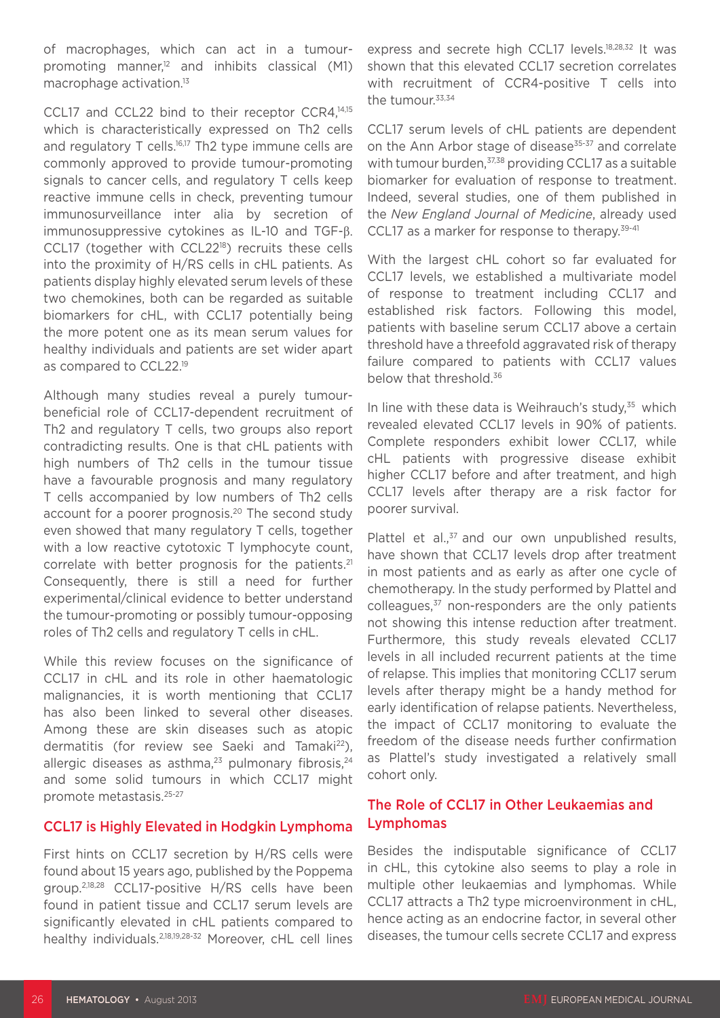of macrophages, which can act in a tumourpromoting manner, $12$  and inhibits classical (M1) macrophage activation.13

CCL17 and CCL22 bind to their receptor CCR4,<sup>14,15</sup> which is characteristically expressed on Th2 cells and regulatory T cells.<sup>16,17</sup> Th2 type immune cells are commonly approved to provide tumour-promoting signals to cancer cells, and regulatory T cells keep reactive immune cells in check, preventing tumour immunosurveillance inter alia by secretion of immunosuppressive cytokines as IL-10 and TGF-β. CCL17 (together with CCL2218) recruits these cells into the proximity of H/RS cells in cHL patients. As patients display highly elevated serum levels of these two chemokines, both can be regarded as suitable biomarkers for cHL, with CCL17 potentially being the more potent one as its mean serum values for healthy individuals and patients are set wider apart as compared to CCL22.<sup>19</sup>

Although many studies reveal a purely tumourbeneficial role of CCL17-dependent recruitment of Th2 and regulatory T cells, two groups also report contradicting results. One is that cHL patients with high numbers of Th2 cells in the tumour tissue have a favourable prognosis and many regulatory T cells accompanied by low numbers of Th2 cells account for a poorer prognosis.20 The second study even showed that many regulatory T cells, together with a low reactive cytotoxic T lymphocyte count, correlate with better prognosis for the patients.<sup>21</sup> Consequently, there is still a need for further experimental/clinical evidence to better understand the tumour-promoting or possibly tumour-opposing roles of Th2 cells and regulatory T cells in cHL.

While this review focuses on the significance of CCL17 in cHL and its role in other haematologic malignancies, it is worth mentioning that CCL17 has also been linked to several other diseases. Among these are skin diseases such as atopic dermatitis (for review see Saeki and Tamaki<sup>22</sup>), allergic diseases as asthma, $23$  pulmonary fibrosis, $24$ and some solid tumours in which CCL17 might promote metastasis.25-27

#### CCL17 is Highly Elevated in Hodgkin Lymphoma

First hints on CCL17 secretion by H/RS cells were found about 15 years ago, published by the Poppema group.2,18,28 CCL17-positive H/RS cells have been found in patient tissue and CCL17 serum levels are significantly elevated in cHL patients compared to healthy individuals.2,18,19,28-32 Moreover, cHL cell lines

express and secrete high CCL17 levels.<sup>18,28,32</sup> It was shown that this elevated CCL17 secretion correlates with recruitment of CCR4-positive T cells into the tumour.<sup>33,34</sup>

CCL17 serum levels of cHL patients are dependent on the Ann Arbor stage of disease<sup>35-37</sup> and correlate with tumour burden,<sup>37,38</sup> providing CCL17 as a suitable biomarker for evaluation of response to treatment. Indeed, several studies, one of them published in the *New England Journal of Medicine*, already used CCL17 as a marker for response to therapy.<sup>39-41</sup>

With the largest cHL cohort so far evaluated for CCL17 levels, we established a multivariate model of response to treatment including CCL17 and established risk factors. Following this model, patients with baseline serum CCL17 above a certain threshold have a threefold aggravated risk of therapy failure compared to patients with CCL17 values below that threshold.<sup>36</sup>

In line with these data is Weihrauch's study, $35$  which revealed elevated CCL17 levels in 90% of patients. Complete responders exhibit lower CCL17, while cHL patients with progressive disease exhibit higher CCL17 before and after treatment, and high CCL17 levels after therapy are a risk factor for poorer survival.

Plattel et al.,<sup>37</sup> and our own unpublished results, have shown that CCL17 levels drop after treatment in most patients and as early as after one cycle of chemotherapy. In the study performed by Plattel and colleagues,<sup>37</sup> non-responders are the only patients not showing this intense reduction after treatment. Furthermore, this study reveals elevated CCL17 levels in all included recurrent patients at the time of relapse. This implies that monitoring CCL17 serum levels after therapy might be a handy method for early identification of relapse patients. Nevertheless, the impact of CCL17 monitoring to evaluate the freedom of the disease needs further confirmation as Plattel's study investigated a relatively small cohort only.

#### The Role of CCL17 in Other Leukaemias and Lymphomas

Besides the indisputable significance of CCL17 in cHL, this cytokine also seems to play a role in multiple other leukaemias and lymphomas. While CCL17 attracts a Th2 type microenvironment in cHL, hence acting as an endocrine factor, in several other diseases, the tumour cells secrete CCL17 and express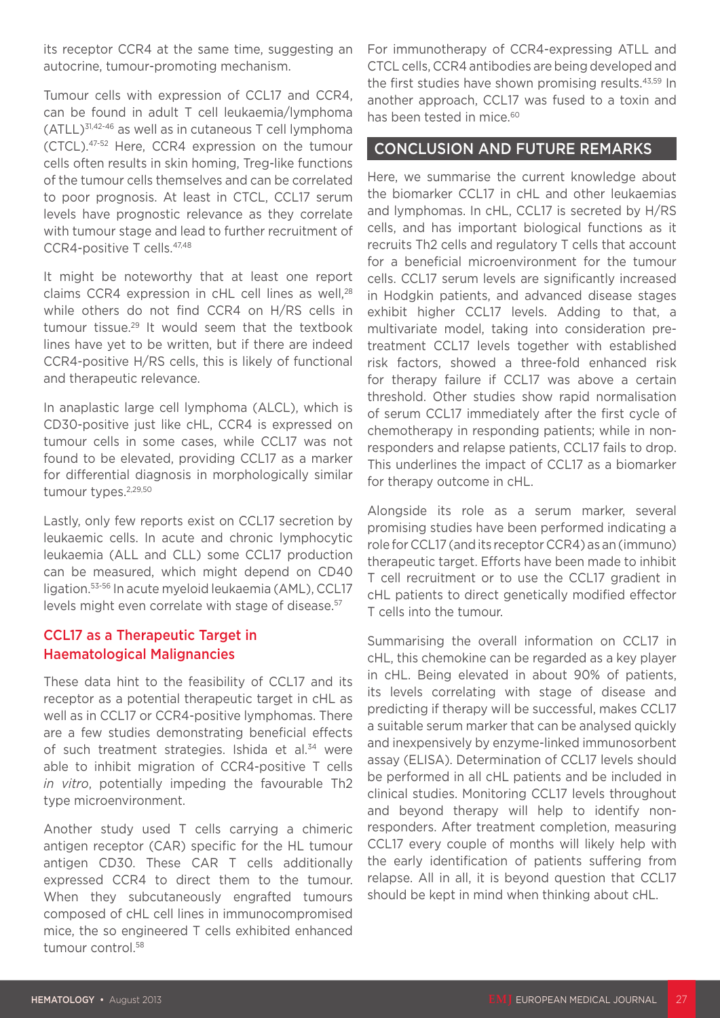its receptor CCR4 at the same time, suggesting an autocrine, tumour-promoting mechanism.

Tumour cells with expression of CCL17 and CCR4, can be found in adult T cell leukaemia/lymphoma (ATLL)31,42-46 as well as in cutaneous T cell lymphoma (CTCL).47-52 Here, CCR4 expression on the tumour cells often results in skin homing, Treg-like functions of the tumour cells themselves and can be correlated to poor prognosis. At least in CTCL, CCL17 serum levels have prognostic relevance as they correlate with tumour stage and lead to further recruitment of CCR4-positive T cells.47,48

It might be noteworthy that at least one report claims CCR4 expression in cHL cell lines as well,28 while others do not find CCR4 on H/RS cells in tumour tissue.29 It would seem that the textbook lines have yet to be written, but if there are indeed CCR4-positive H/RS cells, this is likely of functional and therapeutic relevance.

In anaplastic large cell lymphoma (ALCL), which is CD30-positive just like cHL, CCR4 is expressed on tumour cells in some cases, while CCL17 was not found to be elevated, providing CCL17 as a marker for differential diagnosis in morphologically similar tumour types.<sup>2,29,50</sup>

Lastly, only few reports exist on CCL17 secretion by leukaemic cells. In acute and chronic lymphocytic leukaemia (ALL and CLL) some CCL17 production can be measured, which might depend on CD40 ligation.53-56 In acute myeloid leukaemia (AML), CCL17 levels might even correlate with stage of disease.<sup>57</sup>

#### CCL17 as a Therapeutic Target in Haematological Malignancies

These data hint to the feasibility of CCL17 and its receptor as a potential therapeutic target in cHL as well as in CCL17 or CCR4-positive lymphomas. There are a few studies demonstrating beneficial effects of such treatment strategies. Ishida et al.<sup>34</sup> were able to inhibit migration of CCR4-positive T cells *in vitro*, potentially impeding the favourable Th2 type microenvironment.

Another study used T cells carrying a chimeric antigen receptor (CAR) specific for the HL tumour antigen CD30. These CAR T cells additionally expressed CCR4 to direct them to the tumour. When they subcutaneously engrafted tumours composed of cHL cell lines in immunocompromised mice, the so engineered T cells exhibited enhanced tumour control.<sup>58</sup>

For immunotherapy of CCR4-expressing ATLL and CTCL cells, CCR4 antibodies are being developed and the first studies have shown promising results.43,59 In another approach, CCL17 was fused to a toxin and has been tested in mice.<sup>60</sup>

#### CONCLUSION AND FUTURE REMARKS

Here, we summarise the current knowledge about the biomarker CCL17 in cHL and other leukaemias and lymphomas. In cHL, CCL17 is secreted by H/RS cells, and has important biological functions as it recruits Th2 cells and regulatory T cells that account for a beneficial microenvironment for the tumour cells. CCL17 serum levels are significantly increased in Hodgkin patients, and advanced disease stages exhibit higher CCL17 levels. Adding to that, a multivariate model, taking into consideration pretreatment CCL17 levels together with established risk factors, showed a three-fold enhanced risk for therapy failure if CCL17 was above a certain threshold. Other studies show rapid normalisation of serum CCL17 immediately after the first cycle of chemotherapy in responding patients; while in nonresponders and relapse patients, CCL17 fails to drop. This underlines the impact of CCL17 as a biomarker for therapy outcome in cHL.

Alongside its role as a serum marker, several promising studies have been performed indicating a role for CCL17 (and its receptor CCR4) as an (immuno) therapeutic target. Efforts have been made to inhibit T cell recruitment or to use the CCL17 gradient in cHL patients to direct genetically modified effector T cells into the tumour.

Summarising the overall information on CCL17 in cHL, this chemokine can be regarded as a key player in cHL. Being elevated in about 90% of patients, its levels correlating with stage of disease and predicting if therapy will be successful, makes CCL17 a suitable serum marker that can be analysed quickly and inexpensively by enzyme-linked immunosorbent assay (ELISA). Determination of CCL17 levels should be performed in all cHL patients and be included in clinical studies. Monitoring CCL17 levels throughout and beyond therapy will help to identify nonresponders. After treatment completion, measuring CCL17 every couple of months will likely help with the early identification of patients suffering from relapse. All in all, it is beyond question that CCL17 should be kept in mind when thinking about cHL.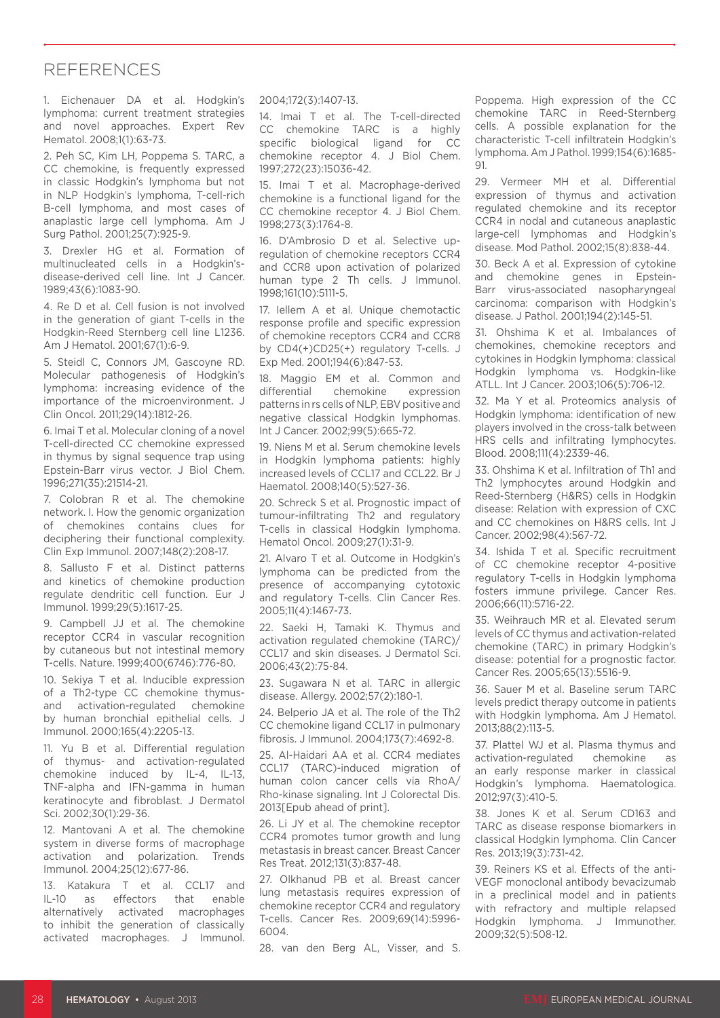#### REFERENCES

1. Eichenauer DA et al. Hodgkin's lymphoma: current treatment strategies and novel approaches. Expert Rev Hematol. 2008;1(1):63-73.

2. Peh SC, Kim LH, Poppema S. TARC, a CC chemokine, is frequently expressed in classic Hodgkin's lymphoma but not in NLP Hodgkin's lymphoma, T-cell-rich B-cell lymphoma, and most cases of anaplastic large cell lymphoma. Am J Surg Pathol. 2001;25(7):925-9.

3. Drexler HG et al. Formation of multinucleated cells in a Hodgkin'sdisease-derived cell line. Int J Cancer. 1989;43(6):1083-90.

4. Re D et al. Cell fusion is not involved in the generation of giant T-cells in the Hodgkin-Reed Sternberg cell line L1236. Am J Hematol. 2001;67(1):6-9.

5. Steidl C, Connors JM, Gascoyne RD. Molecular pathogenesis of Hodgkin's lymphoma: increasing evidence of the importance of the microenvironment. J Clin Oncol. 2011;29(14):1812-26.

6. Imai T et al. Molecular cloning of a novel T-cell-directed CC chemokine expressed in thymus by signal sequence trap using Epstein-Barr virus vector. J Biol Chem. 1996;271(35):21514-21.

7. Colobran R et al. The chemokine network. I. How the genomic organization of chemokines contains clues for deciphering their functional complexity. Clin Exp Immunol. 2007;148(2):208-17.

8. Sallusto F et al. Distinct patterns and kinetics of chemokine production regulate dendritic cell function. Eur J Immunol. 1999;29(5):1617-25.

9. Campbell JJ et al. The chemokine receptor CCR4 in vascular recognition by cutaneous but not intestinal memory T-cells. Nature. 1999;400(6746):776-80.

10. Sekiya T et al. Inducible expression of a Th2-type CC chemokine thymusand activation-regulated chemokine by human bronchial epithelial cells. J Immunol. 2000;165(4):2205-13.

11. Yu B et al. Differential regulation of thymus- and activation-regulated chemokine induced by IL-4, IL-13, TNF-alpha and IFN-gamma in human keratinocyte and fibroblast. J Dermatol Sci. 2002;30(1):29-36.

12. Mantovani A et al. The chemokine system in diverse forms of macrophage activation and polarization. Trends Immunol. 2004;25(12):677-86.

13. Katakura T et al. CCL17 and IL-10 as effectors that enable alternatively activated macrophages to inhibit the generation of classically activated macrophages. J Immunol.

#### 2004;172(3):1407-13.

14. Imai T et al. The T-cell-directed CC chemokine TARC is a highly specific biological ligand for CC chemokine receptor 4. J Biol Chem. 1997;272(23):15036-42.

15. Imai T et al. Macrophage-derived chemokine is a functional ligand for the CC chemokine receptor 4. J Biol Chem. 1998;273(3):1764-8.

16. D'Ambrosio D et al. Selective upregulation of chemokine receptors CCR4 and CCR8 upon activation of polarized human type 2 Th cells. J Immunol. 1998;161(10):5111-5.

17. Iellem A et al. Unique chemotactic response profile and specific expression of chemokine receptors CCR4 and CCR8 by CD4(+)CD25(+) regulatory T-cells. J Exp Med. 2001;194(6):847-53.

18. Maggio EM et al. Common and differential chemokine expression patterns in rs cells of NLP, EBV positive and negative classical Hodgkin lymphomas. Int J Cancer. 2002;99(5):665-72.

19. Niens M et al. Serum chemokine levels in Hodgkin lymphoma patients: highly increased levels of CCL17 and CCL22. Br J Haematol. 2008;140(5):527-36.

20. Schreck S et al. Prognostic impact of tumour-infiltrating Th2 and regulatory T-cells in classical Hodgkin lymphoma. Hematol Oncol. 2009;27(1):31-9.

21. Alvaro T et al. Outcome in Hodgkin's lymphoma can be predicted from the presence of accompanying cytotoxic and regulatory T-cells. Clin Cancer Res. 2005;11(4):1467-73.

22. Saeki H, Tamaki K. Thymus and activation regulated chemokine (TARC)/ CCL17 and skin diseases. J Dermatol Sci. 2006;43(2):75-84.

23. Sugawara N et al. TARC in allergic disease. Allergy. 2002;57(2):180-1.

24. Belperio JA et al. The role of the Th2 CC chemokine ligand CCL17 in pulmonary fibrosis. J Immunol. 2004;173(7):4692-8.

25. Al-Haidari AA et al. CCR4 mediates CCL17 (TARC)-induced migration of human colon cancer cells via RhoA/ Rho-kinase signaling. Int J Colorectal Dis. 2013[Epub ahead of print].

26. Li JY et al. The chemokine receptor CCR4 promotes tumor growth and lung metastasis in breast cancer. Breast Cancer Res Treat. 2012;131(3):837-48.

27. Olkhanud PB et al. Breast cancer lung metastasis requires expression of chemokine receptor CCR4 and regulatory T-cells. Cancer Res. 2009;69(14):5996- 6004.

28. van den Berg AL, Visser, and S.

Poppema. High expression of the CC chemokine TARC in Reed-Sternberg cells. A possible explanation for the characteristic T-cell infiltratein Hodgkin's lymphoma. Am J Pathol. 1999;154(6):1685- 91.

29. Vermeer MH et al. Differential expression of thymus and activation regulated chemokine and its receptor CCR4 in nodal and cutaneous anaplastic large-cell lymphomas and Hodgkin's disease. Mod Pathol. 2002;15(8):838-44.

30. Beck A et al. Expression of cytokine and chemokine genes in Epstein-Barr virus-associated nasopharyngeal carcinoma: comparison with Hodgkin's disease. J Pathol. 2001;194(2):145-51.

31. Ohshima K et al. Imbalances of chemokines, chemokine receptors and cytokines in Hodgkin lymphoma: classical Hodgkin lymphoma vs. Hodgkin-like ATLL. Int J Cancer. 2003;106(5):706-12.

32. Ma Y et al. Proteomics analysis of Hodgkin lymphoma: identification of new players involved in the cross-talk between HRS cells and infiltrating lymphocytes. Blood. 2008;111(4):2339-46.

33. Ohshima K et al. Infiltration of Th1 and Th2 lymphocytes around Hodgkin and Reed-Sternberg (H&RS) cells in Hodgkin disease: Relation with expression of CXC and CC chemokines on H&RS cells. Int J Cancer. 2002;98(4):567-72.

34. Ishida T et al. Specific recruitment of CC chemokine receptor 4-positive regulatory T-cells in Hodgkin lymphoma fosters immune privilege. Cancer Res. 2006;66(11):5716-22.

35. Weihrauch MR et al. Elevated serum levels of CC thymus and activation-related chemokine (TARC) in primary Hodgkin's disease: potential for a prognostic factor. Cancer Res. 2005;65(13):5516-9.

36. Sauer M et al. Baseline serum TARC levels predict therapy outcome in patients with Hodgkin lymphoma. Am J Hematol. 2013;88(2):113-5.

37. Plattel WJ et al. Plasma thymus and activation-regulated chemokine as an early response marker in classical Hodgkin's lymphoma. Haematologica. 2012;97(3):410-5.

38. Jones K et al. Serum CD163 and TARC as disease response biomarkers in classical Hodgkin lymphoma. Clin Cancer Res. 2013;19(3):731-42.

39. Reiners KS et al. Effects of the anti-VEGF monoclonal antibody bevacizumab in a preclinical model and in patients with refractory and multiple relapsed Hodgkin lymphoma. J Immunother. 2009;32(5):508-12.